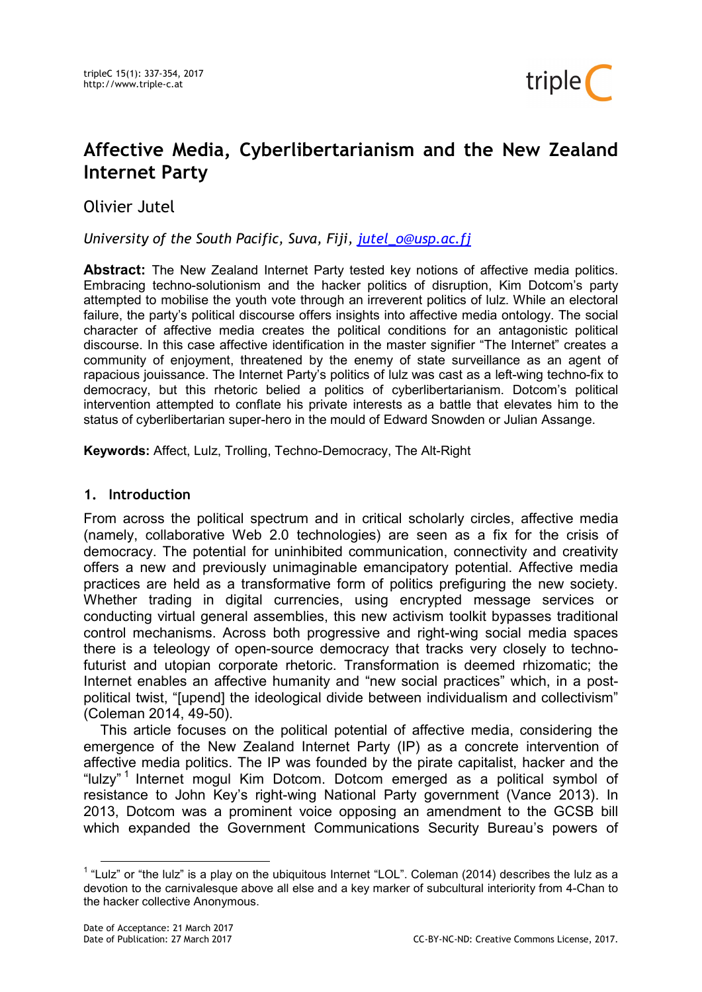

# Affective Media, Cyberlibertarianism and the New Zealand Internet Party

Olivier Jutel

# University of the South Pacific, Suva, Fiji, jutel o@usp.ac.fj

Abstract: The New Zealand Internet Party tested key notions of affective media politics. Embracing techno-solutionism and the hacker politics of disruption, Kim Dotcom's party attempted to mobilise the youth vote through an irreverent politics of lulz. While an electoral failure, the party's political discourse offers insights into affective media ontology. The social character of affective media creates the political conditions for an antagonistic political discourse. In this case affective identification in the master signifier "The Internet" creates a community of enjoyment, threatened by the enemy of state surveillance as an agent of rapacious jouissance. The Internet Party's politics of lulz was cast as a left-wing techno-fix to democracy, but this rhetoric belied a politics of cyberlibertarianism. Dotcom's political intervention attempted to conflate his private interests as a battle that elevates him to the status of cyberlibertarian super-hero in the mould of Edward Snowden or Julian Assange.

Keywords: Affect, Lulz, Trolling, Techno-Democracy, The Alt-Right

## 1. Introduction

From across the political spectrum and in critical scholarly circles, affective media (namely, collaborative Web 2.0 technologies) are seen as a fix for the crisis of democracy. The potential for uninhibited communication, connectivity and creativity offers a new and previously unimaginable emancipatory potential. Affective media practices are held as a transformative form of politics prefiguring the new society. Whether trading in digital currencies, using encrypted message services or conducting virtual general assemblies, this new activism toolkit bypasses traditional control mechanisms. Across both progressive and right-wing social media spaces there is a teleology of open-source democracy that tracks very closely to technofuturist and utopian corporate rhetoric. Transformation is deemed rhizomatic; the Internet enables an affective humanity and "new social practices" which, in a postpolitical twist, "[upend] the ideological divide between individualism and collectivism" (Coleman 2014, 49-50).

This article focuses on the political potential of affective media, considering the emergence of the New Zealand Internet Party (IP) as a concrete intervention of affective media politics. The IP was founded by the pirate capitalist, hacker and the "lulzy" <sup>1</sup> Internet mogul Kim Dotcom. Dotcom emerged as a political symbol of resistance to John Key's right-wing National Party government (Vance 2013). In 2013, Dotcom was a prominent voice opposing an amendment to the GCSB bill which expanded the Government Communications Security Bureau's powers of

 $\overline{a}$ 

 $1$  "Lulz" or "the lulz" is a play on the ubiquitous Internet "LOL". Coleman (2014) describes the lulz as a devotion to the carnivalesque above all else and a key marker of subcultural interiority from 4-Chan to the hacker collective Anonymous.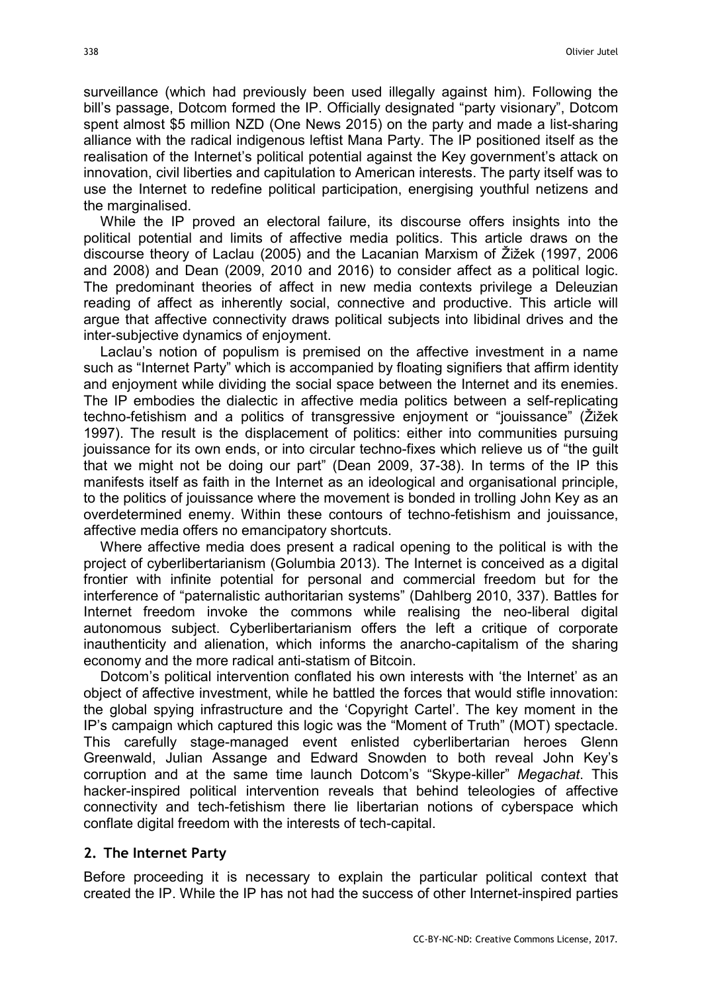surveillance (which had previously been used illegally against him). Following the bill's passage, Dotcom formed the IP. Officially designated "party visionary", Dotcom spent almost \$5 million NZD (One News 2015) on the party and made a list-sharing alliance with the radical indigenous leftist Mana Party. The IP positioned itself as the realisation of the Internet's political potential against the Key government's attack on innovation, civil liberties and capitulation to American interests. The party itself was to use the Internet to redefine political participation, energising youthful netizens and the marginalised.

While the IP proved an electoral failure, its discourse offers insights into the political potential and limits of affective media politics. This article draws on the discourse theory of Laclau (2005) and the Lacanian Marxism of Žižek (1997, 2006 and 2008) and Dean (2009, 2010 and 2016) to consider affect as a political logic. The predominant theories of affect in new media contexts privilege a Deleuzian reading of affect as inherently social, connective and productive. This article will argue that affective connectivity draws political subjects into libidinal drives and the inter-subjective dynamics of enjoyment.

Laclau's notion of populism is premised on the affective investment in a name such as "Internet Party" which is accompanied by floating signifiers that affirm identity and enjoyment while dividing the social space between the Internet and its enemies. The IP embodies the dialectic in affective media politics between a self-replicating techno-fetishism and a politics of transgressive enjoyment or "jouissance" (Žižek 1997). The result is the displacement of politics: either into communities pursuing jouissance for its own ends, or into circular techno-fixes which relieve us of "the guilt that we might not be doing our part" (Dean 2009, 37-38). In terms of the IP this manifests itself as faith in the Internet as an ideological and organisational principle, to the politics of jouissance where the movement is bonded in trolling John Key as an overdetermined enemy. Within these contours of techno-fetishism and jouissance, affective media offers no emancipatory shortcuts.

Where affective media does present a radical opening to the political is with the project of cyberlibertarianism (Golumbia 2013). The Internet is conceived as a digital frontier with infinite potential for personal and commercial freedom but for the interference of "paternalistic authoritarian systems" (Dahlberg 2010, 337). Battles for Internet freedom invoke the commons while realising the neo-liberal digital autonomous subject. Cyberlibertarianism offers the left a critique of corporate inauthenticity and alienation, which informs the anarcho-capitalism of the sharing economy and the more radical anti-statism of Bitcoin.

Dotcom's political intervention conflated his own interests with 'the Internet' as an object of affective investment, while he battled the forces that would stifle innovation: the global spying infrastructure and the 'Copyright Cartel'. The key moment in the IP's campaign which captured this logic was the "Moment of Truth" (MOT) spectacle. This carefully stage-managed event enlisted cyberlibertarian heroes Glenn Greenwald, Julian Assange and Edward Snowden to both reveal John Key's corruption and at the same time launch Dotcom's "Skype-killer" Megachat. This hacker-inspired political intervention reveals that behind teleologies of affective connectivity and tech-fetishism there lie libertarian notions of cyberspace which conflate digital freedom with the interests of tech-capital.

#### 2. The Internet Party

Before proceeding it is necessary to explain the particular political context that created the IP. While the IP has not had the success of other Internet-inspired parties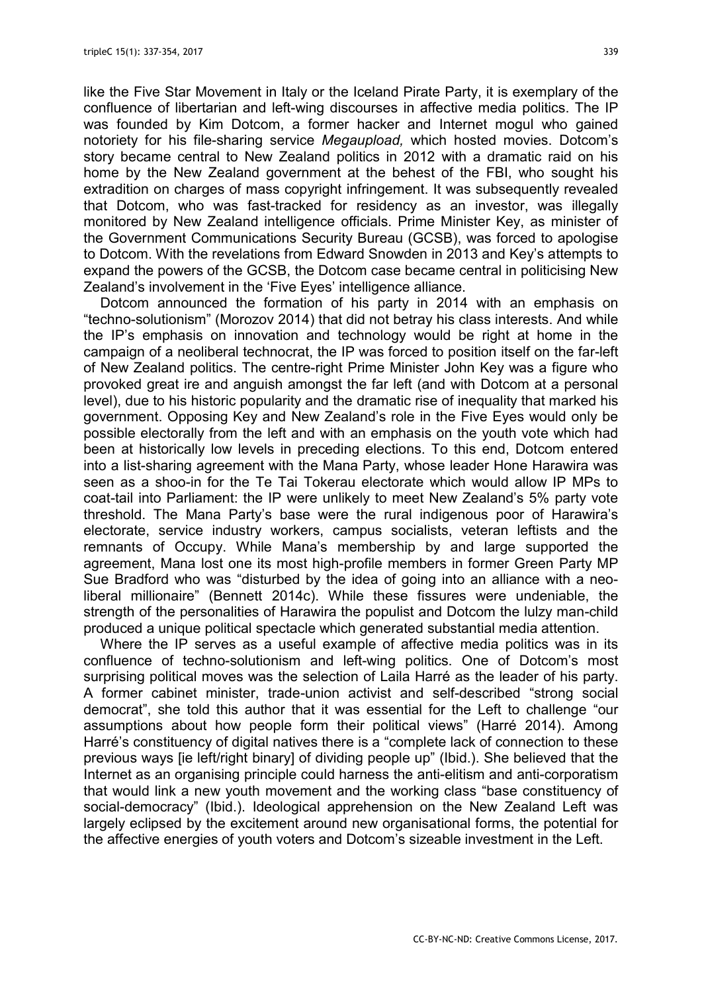like the Five Star Movement in Italy or the Iceland Pirate Party, it is exemplary of the confluence of libertarian and left-wing discourses in affective media politics. The IP was founded by Kim Dotcom, a former hacker and Internet mogul who gained notoriety for his file-sharing service Megaupload, which hosted movies. Dotcom's story became central to New Zealand politics in 2012 with a dramatic raid on his home by the New Zealand government at the behest of the FBI, who sought his extradition on charges of mass copyright infringement. It was subsequently revealed that Dotcom, who was fast-tracked for residency as an investor, was illegally monitored by New Zealand intelligence officials. Prime Minister Key, as minister of the Government Communications Security Bureau (GCSB), was forced to apologise to Dotcom. With the revelations from Edward Snowden in 2013 and Key's attempts to expand the powers of the GCSB, the Dotcom case became central in politicising New Zealand's involvement in the 'Five Eyes' intelligence alliance.

Dotcom announced the formation of his party in 2014 with an emphasis on "techno-solutionism" (Morozov 2014) that did not betray his class interests. And while the IP's emphasis on innovation and technology would be right at home in the campaign of a neoliberal technocrat, the IP was forced to position itself on the far-left of New Zealand politics. The centre-right Prime Minister John Key was a figure who provoked great ire and anguish amongst the far left (and with Dotcom at a personal level), due to his historic popularity and the dramatic rise of inequality that marked his government. Opposing Key and New Zealand's role in the Five Eyes would only be possible electorally from the left and with an emphasis on the youth vote which had been at historically low levels in preceding elections. To this end, Dotcom entered into a list-sharing agreement with the Mana Party, whose leader Hone Harawira was seen as a shoo-in for the Te Tai Tokerau electorate which would allow IP MPs to coat-tail into Parliament: the IP were unlikely to meet New Zealand's 5% party vote threshold. The Mana Party's base were the rural indigenous poor of Harawira's electorate, service industry workers, campus socialists, veteran leftists and the remnants of Occupy. While Mana's membership by and large supported the agreement, Mana lost one its most high-profile members in former Green Party MP Sue Bradford who was "disturbed by the idea of going into an alliance with a neoliberal millionaire" (Bennett 2014c). While these fissures were undeniable, the strength of the personalities of Harawira the populist and Dotcom the lulzy man-child produced a unique political spectacle which generated substantial media attention.

Where the IP serves as a useful example of affective media politics was in its confluence of techno-solutionism and left-wing politics. One of Dotcom's most surprising political moves was the selection of Laila Harré as the leader of his party. A former cabinet minister, trade-union activist and self-described "strong social democrat", she told this author that it was essential for the Left to challenge "our assumptions about how people form their political views" (Harré 2014). Among Harré's constituency of digital natives there is a "complete lack of connection to these previous ways [ie left/right binary] of dividing people up" (Ibid.). She believed that the Internet as an organising principle could harness the anti-elitism and anti-corporatism that would link a new youth movement and the working class "base constituency of social-democracy" (Ibid.). Ideological apprehension on the New Zealand Left was largely eclipsed by the excitement around new organisational forms, the potential for the affective energies of youth voters and Dotcom's sizeable investment in the Left.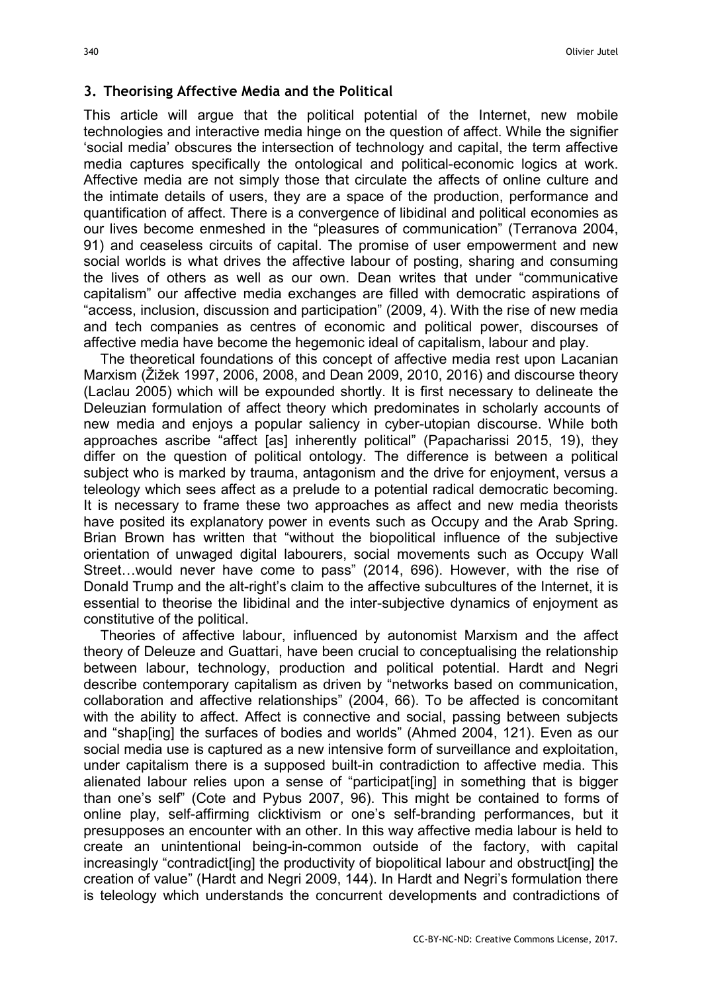#### 3. Theorising Affective Media and the Political

This article will argue that the political potential of the Internet, new mobile technologies and interactive media hinge on the question of affect. While the signifier 'social media' obscures the intersection of technology and capital, the term affective media captures specifically the ontological and political-economic logics at work. Affective media are not simply those that circulate the affects of online culture and the intimate details of users, they are a space of the production, performance and quantification of affect. There is a convergence of libidinal and political economies as our lives become enmeshed in the "pleasures of communication" (Terranova 2004, 91) and ceaseless circuits of capital. The promise of user empowerment and new social worlds is what drives the affective labour of posting, sharing and consuming the lives of others as well as our own. Dean writes that under "communicative capitalism" our affective media exchanges are filled with democratic aspirations of "access, inclusion, discussion and participation" (2009, 4). With the rise of new media and tech companies as centres of economic and political power, discourses of affective media have become the hegemonic ideal of capitalism, labour and play.

The theoretical foundations of this concept of affective media rest upon Lacanian Marxism (Žižek 1997, 2006, 2008, and Dean 2009, 2010, 2016) and discourse theory (Laclau 2005) which will be expounded shortly. It is first necessary to delineate the Deleuzian formulation of affect theory which predominates in scholarly accounts of new media and enjoys a popular saliency in cyber-utopian discourse. While both approaches ascribe "affect [as] inherently political" (Papacharissi 2015, 19), they differ on the question of political ontology. The difference is between a political subject who is marked by trauma, antagonism and the drive for enjoyment, versus a teleology which sees affect as a prelude to a potential radical democratic becoming. It is necessary to frame these two approaches as affect and new media theorists have posited its explanatory power in events such as Occupy and the Arab Spring. Brian Brown has written that "without the biopolitical influence of the subjective orientation of unwaged digital labourers, social movements such as Occupy Wall Street…would never have come to pass" (2014, 696). However, with the rise of Donald Trump and the alt-right's claim to the affective subcultures of the Internet, it is essential to theorise the libidinal and the inter-subjective dynamics of enjoyment as constitutive of the political.

Theories of affective labour, influenced by autonomist Marxism and the affect theory of Deleuze and Guattari, have been crucial to conceptualising the relationship between labour, technology, production and political potential. Hardt and Negri describe contemporary capitalism as driven by "networks based on communication, collaboration and affective relationships" (2004, 66). To be affected is concomitant with the ability to affect. Affect is connective and social, passing between subjects and "shap[ing] the surfaces of bodies and worlds" (Ahmed 2004, 121). Even as our social media use is captured as a new intensive form of surveillance and exploitation, under capitalism there is a supposed built-in contradiction to affective media. This alienated labour relies upon a sense of "participat[ing] in something that is bigger than one's self" (Cote and Pybus 2007, 96). This might be contained to forms of online play, self-affirming clicktivism or one's self-branding performances, but it presupposes an encounter with an other. In this way affective media labour is held to create an unintentional being-in-common outside of the factory, with capital increasingly "contradict[ing] the productivity of biopolitical labour and obstruct[ing] the creation of value" (Hardt and Negri 2009, 144). In Hardt and Negri's formulation there is teleology which understands the concurrent developments and contradictions of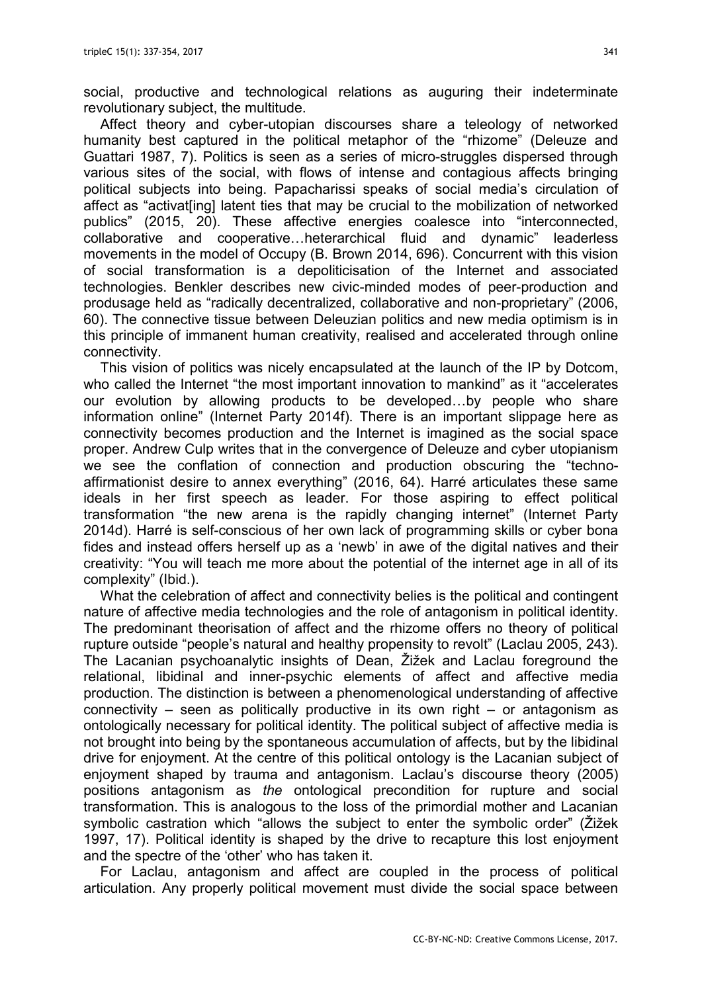social, productive and technological relations as auguring their indeterminate revolutionary subject, the multitude.

Affect theory and cyber-utopian discourses share a teleology of networked humanity best captured in the political metaphor of the "rhizome" (Deleuze and Guattari 1987, 7). Politics is seen as a series of micro-struggles dispersed through various sites of the social, with flows of intense and contagious affects bringing political subjects into being. Papacharissi speaks of social media's circulation of affect as "activat[ing] latent ties that may be crucial to the mobilization of networked publics" (2015, 20). These affective energies coalesce into "interconnected, collaborative and cooperative…heterarchical fluid and dynamic" leaderless movements in the model of Occupy (B. Brown 2014, 696). Concurrent with this vision of social transformation is a depoliticisation of the Internet and associated technologies. Benkler describes new civic-minded modes of peer-production and produsage held as "radically decentralized, collaborative and non-proprietary" (2006, 60). The connective tissue between Deleuzian politics and new media optimism is in this principle of immanent human creativity, realised and accelerated through online connectivity.

This vision of politics was nicely encapsulated at the launch of the IP by Dotcom, who called the Internet "the most important innovation to mankind" as it "accelerates our evolution by allowing products to be developed…by people who share information online" (Internet Party 2014f). There is an important slippage here as connectivity becomes production and the Internet is imagined as the social space proper. Andrew Culp writes that in the convergence of Deleuze and cyber utopianism we see the conflation of connection and production obscuring the "technoaffirmationist desire to annex everything" (2016, 64). Harré articulates these same ideals in her first speech as leader. For those aspiring to effect political transformation "the new arena is the rapidly changing internet" (Internet Party 2014d). Harré is self-conscious of her own lack of programming skills or cyber bona fides and instead offers herself up as a 'newb' in awe of the digital natives and their creativity: "You will teach me more about the potential of the internet age in all of its complexity" (Ibid.).

What the celebration of affect and connectivity belies is the political and contingent nature of affective media technologies and the role of antagonism in political identity. The predominant theorisation of affect and the rhizome offers no theory of political rupture outside "people's natural and healthy propensity to revolt" (Laclau 2005, 243). The Lacanian psychoanalytic insights of Dean, Žižek and Laclau foreground the relational, libidinal and inner-psychic elements of affect and affective media production. The distinction is between a phenomenological understanding of affective connectivity – seen as politically productive in its own right – or antagonism as ontologically necessary for political identity. The political subject of affective media is not brought into being by the spontaneous accumulation of affects, but by the libidinal drive for enjoyment. At the centre of this political ontology is the Lacanian subject of enjoyment shaped by trauma and antagonism. Laclau's discourse theory (2005) positions antagonism as the ontological precondition for rupture and social transformation. This is analogous to the loss of the primordial mother and Lacanian symbolic castration which "allows the subject to enter the symbolic order" (Žižek 1997, 17). Political identity is shaped by the drive to recapture this lost enjoyment and the spectre of the 'other' who has taken it.

For Laclau, antagonism and affect are coupled in the process of political articulation. Any properly political movement must divide the social space between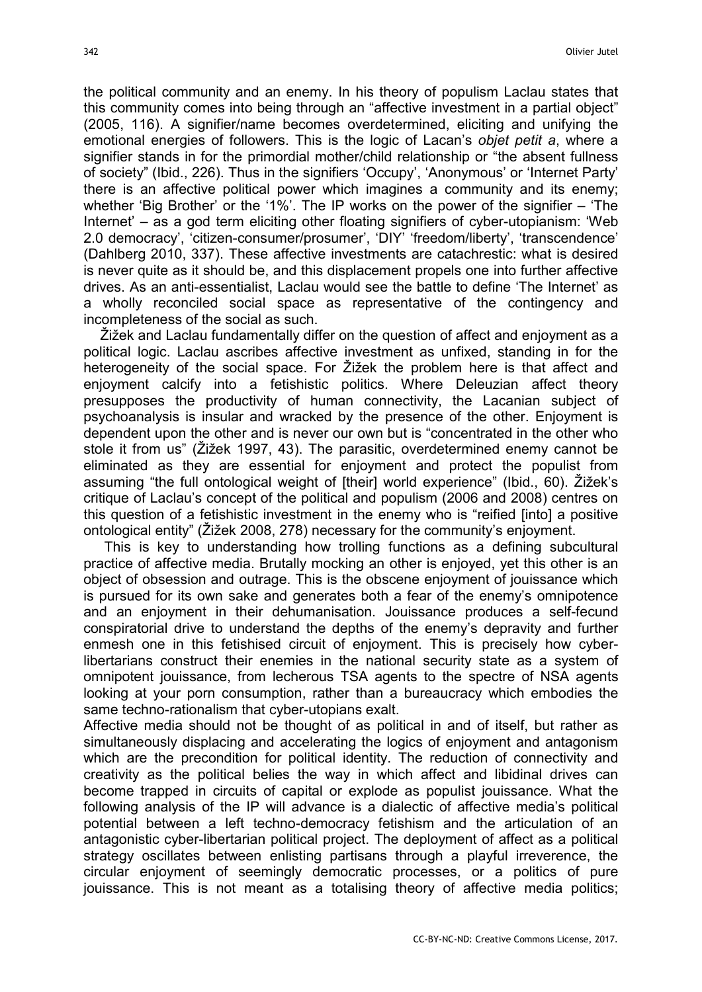the political community and an enemy. In his theory of populism Laclau states that this community comes into being through an "affective investment in a partial object" (2005, 116). A signifier/name becomes overdetermined, eliciting and unifying the emotional energies of followers. This is the logic of Lacan's objet petit a, where a signifier stands in for the primordial mother/child relationship or "the absent fullness of society" (Ibid., 226). Thus in the signifiers 'Occupy', 'Anonymous' or 'Internet Party' there is an affective political power which imagines a community and its enemy; whether 'Big Brother' or the '1%'. The IP works on the power of the signifier – 'The Internet' – as a god term eliciting other floating signifiers of cyber-utopianism: 'Web 2.0 democracy', 'citizen-consumer/prosumer', 'DIY' 'freedom/liberty', 'transcendence' (Dahlberg 2010, 337). These affective investments are catachrestic: what is desired is never quite as it should be, and this displacement propels one into further affective drives. As an anti-essentialist, Laclau would see the battle to define 'The Internet' as a wholly reconciled social space as representative of the contingency and incompleteness of the social as such.

Žižek and Laclau fundamentally differ on the question of affect and enjoyment as a political logic. Laclau ascribes affective investment as unfixed, standing in for the heterogeneity of the social space. For Žižek the problem here is that affect and enjoyment calcify into a fetishistic politics. Where Deleuzian affect theory presupposes the productivity of human connectivity, the Lacanian subject of psychoanalysis is insular and wracked by the presence of the other. Enjoyment is dependent upon the other and is never our own but is "concentrated in the other who stole it from us" (Žižek 1997, 43). The parasitic, overdetermined enemy cannot be eliminated as they are essential for enjoyment and protect the populist from assuming "the full ontological weight of [their] world experience" (Ibid., 60). Žižek's critique of Laclau's concept of the political and populism (2006 and 2008) centres on this question of a fetishistic investment in the enemy who is "reified [into] a positive ontological entity" (Žižek 2008, 278) necessary for the community's enjoyment.

 This is key to understanding how trolling functions as a defining subcultural practice of affective media. Brutally mocking an other is enjoyed, yet this other is an object of obsession and outrage. This is the obscene enjoyment of jouissance which is pursued for its own sake and generates both a fear of the enemy's omnipotence and an enjoyment in their dehumanisation. Jouissance produces a self-fecund conspiratorial drive to understand the depths of the enemy's depravity and further enmesh one in this fetishised circuit of enjoyment. This is precisely how cyberlibertarians construct their enemies in the national security state as a system of omnipotent jouissance, from lecherous TSA agents to the spectre of NSA agents looking at your porn consumption, rather than a bureaucracy which embodies the same techno-rationalism that cyber-utopians exalt.

Affective media should not be thought of as political in and of itself, but rather as simultaneously displacing and accelerating the logics of enjoyment and antagonism which are the precondition for political identity. The reduction of connectivity and creativity as the political belies the way in which affect and libidinal drives can become trapped in circuits of capital or explode as populist jouissance. What the following analysis of the IP will advance is a dialectic of affective media's political potential between a left techno-democracy fetishism and the articulation of an antagonistic cyber-libertarian political project. The deployment of affect as a political strategy oscillates between enlisting partisans through a playful irreverence, the circular enjoyment of seemingly democratic processes, or a politics of pure jouissance. This is not meant as a totalising theory of affective media politics;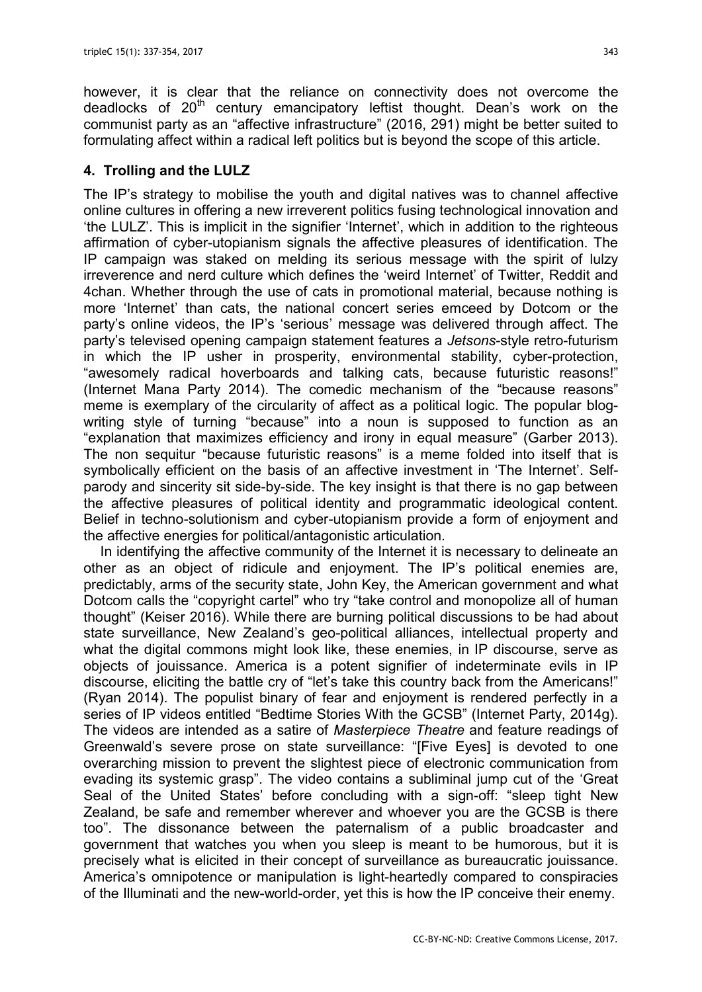however, it is clear that the reliance on connectivity does not overcome the deadlocks of  $20<sup>th</sup>$  century emancipatory leftist thought. Dean's work on the communist party as an "affective infrastructure" (2016, 291) might be better suited to formulating affect within a radical left politics but is beyond the scope of this article.

# 4. Trolling and the LULZ

The IP's strategy to mobilise the youth and digital natives was to channel affective online cultures in offering a new irreverent politics fusing technological innovation and 'the LULZ'. This is implicit in the signifier 'Internet', which in addition to the righteous affirmation of cyber-utopianism signals the affective pleasures of identification. The IP campaign was staked on melding its serious message with the spirit of lulzy irreverence and nerd culture which defines the 'weird Internet' of Twitter, Reddit and 4chan. Whether through the use of cats in promotional material, because nothing is more 'Internet' than cats, the national concert series emceed by Dotcom or the party's online videos, the IP's 'serious' message was delivered through affect. The party's televised opening campaign statement features a Jetsons-style retro-futurism in which the IP usher in prosperity, environmental stability, cyber-protection, "awesomely radical hoverboards and talking cats, because futuristic reasons!" (Internet Mana Party 2014). The comedic mechanism of the "because reasons" meme is exemplary of the circularity of affect as a political logic. The popular blogwriting style of turning "because" into a noun is supposed to function as an "explanation that maximizes efficiency and irony in equal measure" (Garber 2013). The non sequitur "because futuristic reasons" is a meme folded into itself that is symbolically efficient on the basis of an affective investment in 'The Internet'. Selfparody and sincerity sit side-by-side. The key insight is that there is no gap between the affective pleasures of political identity and programmatic ideological content. Belief in techno-solutionism and cyber-utopianism provide a form of enjoyment and the affective energies for political/antagonistic articulation.

In identifying the affective community of the Internet it is necessary to delineate an other as an object of ridicule and enjoyment. The IP's political enemies are, predictably, arms of the security state, John Key, the American government and what Dotcom calls the "copyright cartel" who try "take control and monopolize all of human thought" (Keiser 2016). While there are burning political discussions to be had about state surveillance, New Zealand's geo-political alliances, intellectual property and what the digital commons might look like, these enemies, in IP discourse, serve as objects of jouissance. America is a potent signifier of indeterminate evils in IP discourse, eliciting the battle cry of "let's take this country back from the Americans!" (Ryan 2014). The populist binary of fear and enjoyment is rendered perfectly in a series of IP videos entitled "Bedtime Stories With the GCSB" (Internet Party, 2014g). The videos are intended as a satire of Masterpiece Theatre and feature readings of Greenwald's severe prose on state surveillance: "[Five Eyes] is devoted to one overarching mission to prevent the slightest piece of electronic communication from evading its systemic grasp". The video contains a subliminal jump cut of the 'Great Seal of the United States' before concluding with a sign-off: "sleep tight New Zealand, be safe and remember wherever and whoever you are the GCSB is there too". The dissonance between the paternalism of a public broadcaster and government that watches you when you sleep is meant to be humorous, but it is precisely what is elicited in their concept of surveillance as bureaucratic jouissance. America's omnipotence or manipulation is light-heartedly compared to conspiracies of the Illuminati and the new-world-order, yet this is how the IP conceive their enemy.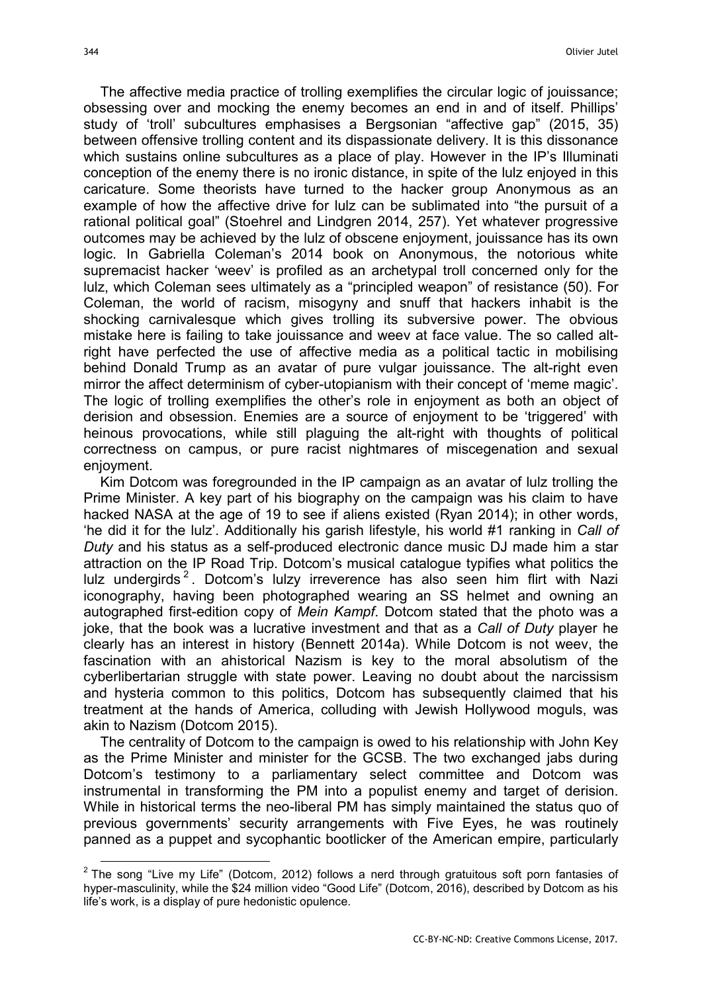$\overline{a}$ 

The affective media practice of trolling exemplifies the circular logic of jouissance; obsessing over and mocking the enemy becomes an end in and of itself. Phillips' study of 'troll' subcultures emphasises a Bergsonian "affective gap" (2015, 35) between offensive trolling content and its dispassionate delivery. It is this dissonance which sustains online subcultures as a place of play. However in the IP's Illuminati conception of the enemy there is no ironic distance, in spite of the lulz enjoyed in this caricature. Some theorists have turned to the hacker group Anonymous as an example of how the affective drive for lulz can be sublimated into "the pursuit of a rational political goal" (Stoehrel and Lindgren 2014, 257). Yet whatever progressive outcomes may be achieved by the lulz of obscene enjoyment, jouissance has its own logic. In Gabriella Coleman's 2014 book on Anonymous, the notorious white supremacist hacker 'weev' is profiled as an archetypal troll concerned only for the lulz, which Coleman sees ultimately as a "principled weapon" of resistance (50). For Coleman, the world of racism, misogyny and snuff that hackers inhabit is the shocking carnivalesque which gives trolling its subversive power. The obvious mistake here is failing to take jouissance and weev at face value. The so called altright have perfected the use of affective media as a political tactic in mobilising behind Donald Trump as an avatar of pure vulgar jouissance. The alt-right even mirror the affect determinism of cyber-utopianism with their concept of 'meme magic'. The logic of trolling exemplifies the other's role in enjoyment as both an object of derision and obsession. Enemies are a source of enjoyment to be 'triggered' with heinous provocations, while still plaguing the alt-right with thoughts of political correctness on campus, or pure racist nightmares of miscegenation and sexual enjoyment.

Kim Dotcom was foregrounded in the IP campaign as an avatar of lulz trolling the Prime Minister. A key part of his biography on the campaign was his claim to have hacked NASA at the age of 19 to see if aliens existed (Ryan 2014); in other words, 'he did it for the lulz'. Additionally his garish lifestyle, his world #1 ranking in Call of Duty and his status as a self-produced electronic dance music DJ made him a star attraction on the IP Road Trip. Dotcom's musical catalogue typifies what politics the lulz undergirds<sup>2</sup>. Dotcom's lulzy irreverence has also seen him flirt with Nazi iconography, having been photographed wearing an SS helmet and owning an autographed first-edition copy of Mein Kampf. Dotcom stated that the photo was a joke, that the book was a lucrative investment and that as a Call of Duty player he clearly has an interest in history (Bennett 2014a). While Dotcom is not weev, the fascination with an ahistorical Nazism is key to the moral absolutism of the cyberlibertarian struggle with state power. Leaving no doubt about the narcissism and hysteria common to this politics, Dotcom has subsequently claimed that his treatment at the hands of America, colluding with Jewish Hollywood moguls, was akin to Nazism (Dotcom 2015).

The centrality of Dotcom to the campaign is owed to his relationship with John Key as the Prime Minister and minister for the GCSB. The two exchanged jabs during Dotcom's testimony to a parliamentary select committee and Dotcom was instrumental in transforming the PM into a populist enemy and target of derision. While in historical terms the neo-liberal PM has simply maintained the status quo of previous governments' security arrangements with Five Eyes, he was routinely panned as a puppet and sycophantic bootlicker of the American empire, particularly

 $^{2}$  The song "Live my Life" (Dotcom, 2012) follows a nerd through gratuitous soft porn fantasies of hyper-masculinity, while the \$24 million video "Good Life" (Dotcom, 2016), described by Dotcom as his life's work, is a display of pure hedonistic opulence.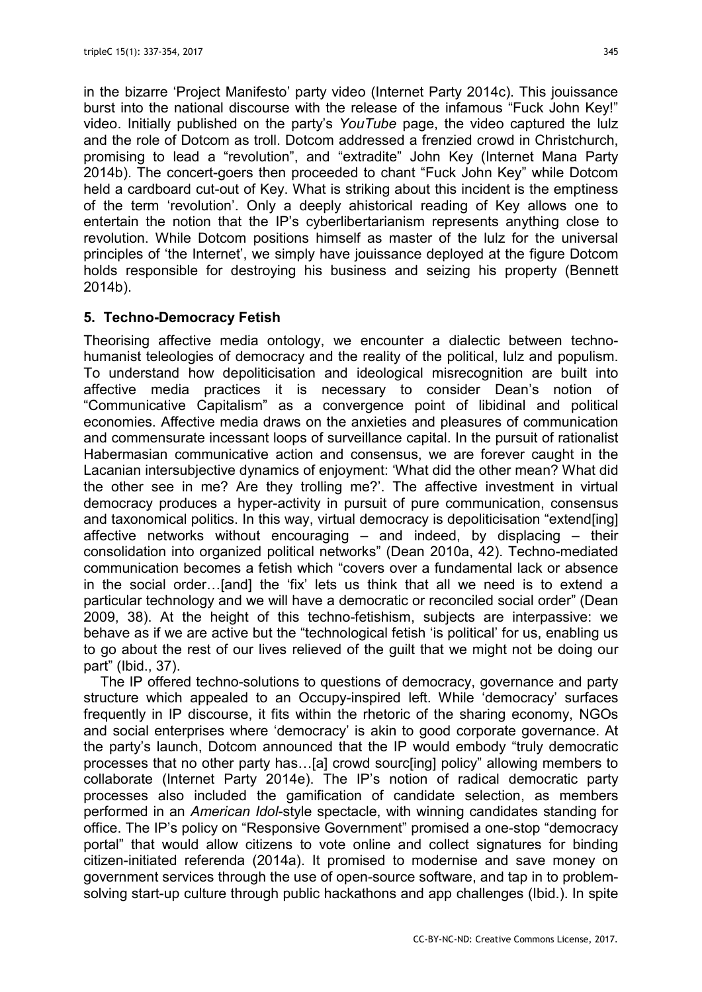in the bizarre 'Project Manifesto' party video (Internet Party 2014c). This jouissance burst into the national discourse with the release of the infamous "Fuck John Key!" video. Initially published on the party's YouTube page, the video captured the lulz and the role of Dotcom as troll. Dotcom addressed a frenzied crowd in Christchurch, promising to lead a "revolution", and "extradite" John Key (Internet Mana Party 2014b). The concert-goers then proceeded to chant "Fuck John Key" while Dotcom held a cardboard cut-out of Key. What is striking about this incident is the emptiness of the term 'revolution'. Only a deeply ahistorical reading of Key allows one to entertain the notion that the IP's cyberlibertarianism represents anything close to revolution. While Dotcom positions himself as master of the lulz for the universal principles of 'the Internet', we simply have jouissance deployed at the figure Dotcom holds responsible for destroying his business and seizing his property (Bennett 2014b).

# 5. Techno-Democracy Fetish

Theorising affective media ontology, we encounter a dialectic between technohumanist teleologies of democracy and the reality of the political, lulz and populism. To understand how depoliticisation and ideological misrecognition are built into affective media practices it is necessary to consider Dean's notion of "Communicative Capitalism" as a convergence point of libidinal and political economies. Affective media draws on the anxieties and pleasures of communication and commensurate incessant loops of surveillance capital. In the pursuit of rationalist Habermasian communicative action and consensus, we are forever caught in the Lacanian intersubjective dynamics of enjoyment: 'What did the other mean? What did the other see in me? Are they trolling me?'. The affective investment in virtual democracy produces a hyper-activity in pursuit of pure communication, consensus and taxonomical politics. In this way, virtual democracy is depoliticisation "extend[ing] affective networks without encouraging  $-$  and indeed, by displacing  $-$  their consolidation into organized political networks" (Dean 2010a, 42). Techno-mediated communication becomes a fetish which "covers over a fundamental lack or absence in the social order…[and] the 'fix' lets us think that all we need is to extend a particular technology and we will have a democratic or reconciled social order" (Dean 2009, 38). At the height of this techno-fetishism, subjects are interpassive: we behave as if we are active but the "technological fetish 'is political' for us, enabling us to go about the rest of our lives relieved of the guilt that we might not be doing our part" (Ibid., 37).

The IP offered techno-solutions to questions of democracy, governance and party structure which appealed to an Occupy-inspired left. While 'democracy' surfaces frequently in IP discourse, it fits within the rhetoric of the sharing economy, NGOs and social enterprises where 'democracy' is akin to good corporate governance. At the party's launch, Dotcom announced that the IP would embody "truly democratic processes that no other party has…[a] crowd sourc[ing] policy" allowing members to collaborate (Internet Party 2014e). The IP's notion of radical democratic party processes also included the gamification of candidate selection, as members performed in an American Idol-style spectacle, with winning candidates standing for office. The IP's policy on "Responsive Government" promised a one-stop "democracy portal" that would allow citizens to vote online and collect signatures for binding citizen-initiated referenda (2014a). It promised to modernise and save money on government services through the use of open-source software, and tap in to problemsolving start-up culture through public hackathons and app challenges (Ibid.). In spite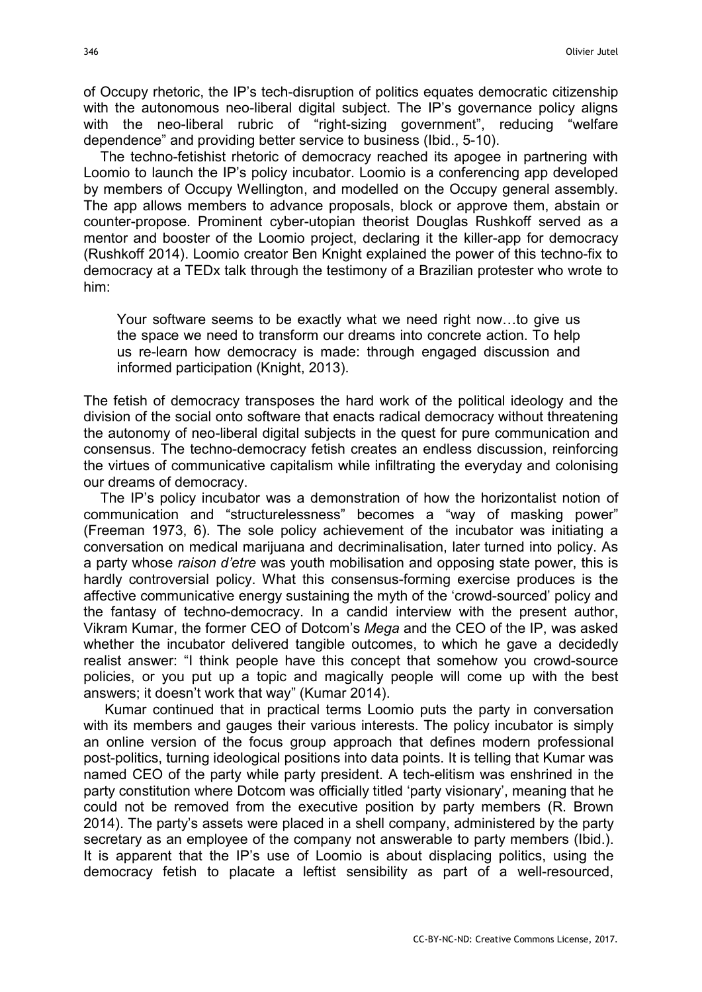of Occupy rhetoric, the IP's tech-disruption of politics equates democratic citizenship with the autonomous neo-liberal digital subject. The IP's governance policy aligns with the neo-liberal rubric of "right-sizing government", reducing "welfare dependence" and providing better service to business (Ibid., 5-10).

The techno-fetishist rhetoric of democracy reached its apogee in partnering with Loomio to launch the IP's policy incubator. Loomio is a conferencing app developed by members of Occupy Wellington, and modelled on the Occupy general assembly. The app allows members to advance proposals, block or approve them, abstain or counter-propose. Prominent cyber-utopian theorist Douglas Rushkoff served as a mentor and booster of the Loomio project, declaring it the killer-app for democracy (Rushkoff 2014). Loomio creator Ben Knight explained the power of this techno-fix to democracy at a TEDx talk through the testimony of a Brazilian protester who wrote to him:

Your software seems to be exactly what we need right now…to give us the space we need to transform our dreams into concrete action. To help us re-learn how democracy is made: through engaged discussion and informed participation (Knight, 2013).

The fetish of democracy transposes the hard work of the political ideology and the division of the social onto software that enacts radical democracy without threatening the autonomy of neo-liberal digital subjects in the quest for pure communication and consensus. The techno-democracy fetish creates an endless discussion, reinforcing the virtues of communicative capitalism while infiltrating the everyday and colonising our dreams of democracy.

The IP's policy incubator was a demonstration of how the horizontalist notion of communication and "structurelessness" becomes a "way of masking power" (Freeman 1973, 6). The sole policy achievement of the incubator was initiating a conversation on medical marijuana and decriminalisation, later turned into policy. As a party whose *raison d'etre* was youth mobilisation and opposing state power, this is hardly controversial policy. What this consensus-forming exercise produces is the affective communicative energy sustaining the myth of the 'crowd-sourced' policy and the fantasy of techno-democracy. In a candid interview with the present author, Vikram Kumar, the former CEO of Dotcom's Mega and the CEO of the IP, was asked whether the incubator delivered tangible outcomes, to which he gave a decidedly realist answer: "I think people have this concept that somehow you crowd-source policies, or you put up a topic and magically people will come up with the best answers; it doesn't work that way" (Kumar 2014).

Kumar continued that in practical terms Loomio puts the party in conversation with its members and gauges their various interests. The policy incubator is simply an online version of the focus group approach that defines modern professional post-politics, turning ideological positions into data points. It is telling that Kumar was named CEO of the party while party president. A tech-elitism was enshrined in the party constitution where Dotcom was officially titled 'party visionary', meaning that he could not be removed from the executive position by party members (R. Brown 2014). The party's assets were placed in a shell company, administered by the party secretary as an employee of the company not answerable to party members (Ibid.). It is apparent that the IP's use of Loomio is about displacing politics, using the democracy fetish to placate a leftist sensibility as part of a well-resourced,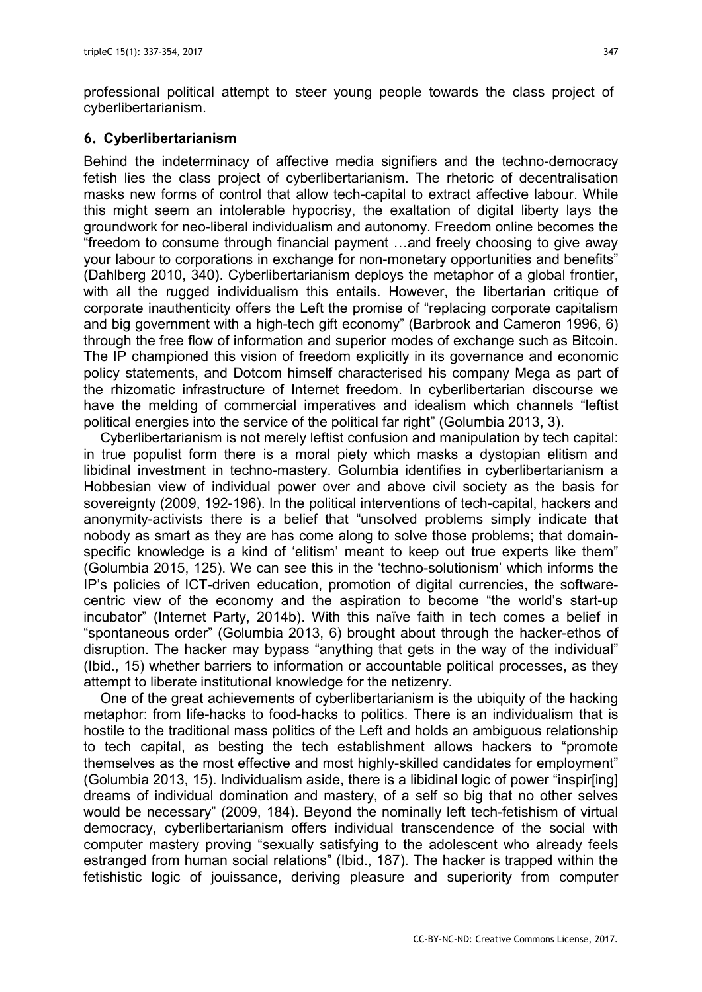professional political attempt to steer young people towards the class project of cyberlibertarianism.

## 6. Cyberlibertarianism

Behind the indeterminacy of affective media signifiers and the techno-democracy fetish lies the class project of cyberlibertarianism. The rhetoric of decentralisation masks new forms of control that allow tech-capital to extract affective labour. While this might seem an intolerable hypocrisy, the exaltation of digital liberty lays the groundwork for neo-liberal individualism and autonomy. Freedom online becomes the "freedom to consume through financial payment …and freely choosing to give away your labour to corporations in exchange for non-monetary opportunities and benefits" (Dahlberg 2010, 340). Cyberlibertarianism deploys the metaphor of a global frontier, with all the rugged individualism this entails. However, the libertarian critique of corporate inauthenticity offers the Left the promise of "replacing corporate capitalism and big government with a high-tech gift economy" (Barbrook and Cameron 1996, 6) through the free flow of information and superior modes of exchange such as Bitcoin. The IP championed this vision of freedom explicitly in its governance and economic policy statements, and Dotcom himself characterised his company Mega as part of the rhizomatic infrastructure of Internet freedom. In cyberlibertarian discourse we have the melding of commercial imperatives and idealism which channels "leftist political energies into the service of the political far right" (Golumbia 2013, 3).

Cyberlibertarianism is not merely leftist confusion and manipulation by tech capital: in true populist form there is a moral piety which masks a dystopian elitism and libidinal investment in techno-mastery. Golumbia identifies in cyberlibertarianism a Hobbesian view of individual power over and above civil society as the basis for sovereignty (2009, 192-196). In the political interventions of tech-capital, hackers and anonymity-activists there is a belief that "unsolved problems simply indicate that nobody as smart as they are has come along to solve those problems; that domainspecific knowledge is a kind of 'elitism' meant to keep out true experts like them" (Golumbia 2015, 125). We can see this in the 'techno-solutionism' which informs the IP's policies of ICT-driven education, promotion of digital currencies, the softwarecentric view of the economy and the aspiration to become "the world's start-up incubator" (Internet Party, 2014b). With this naïve faith in tech comes a belief in "spontaneous order" (Golumbia 2013, 6) brought about through the hacker-ethos of disruption. The hacker may bypass "anything that gets in the way of the individual" (Ibid., 15) whether barriers to information or accountable political processes, as they attempt to liberate institutional knowledge for the netizenry.

One of the great achievements of cyberlibertarianism is the ubiquity of the hacking metaphor: from life-hacks to food-hacks to politics. There is an individualism that is hostile to the traditional mass politics of the Left and holds an ambiguous relationship to tech capital, as besting the tech establishment allows hackers to "promote themselves as the most effective and most highly-skilled candidates for employment" (Golumbia 2013, 15). Individualism aside, there is a libidinal logic of power "inspir[ing] dreams of individual domination and mastery, of a self so big that no other selves would be necessary" (2009, 184). Beyond the nominally left tech-fetishism of virtual democracy, cyberlibertarianism offers individual transcendence of the social with computer mastery proving "sexually satisfying to the adolescent who already feels estranged from human social relations" (Ibid., 187). The hacker is trapped within the fetishistic logic of jouissance, deriving pleasure and superiority from computer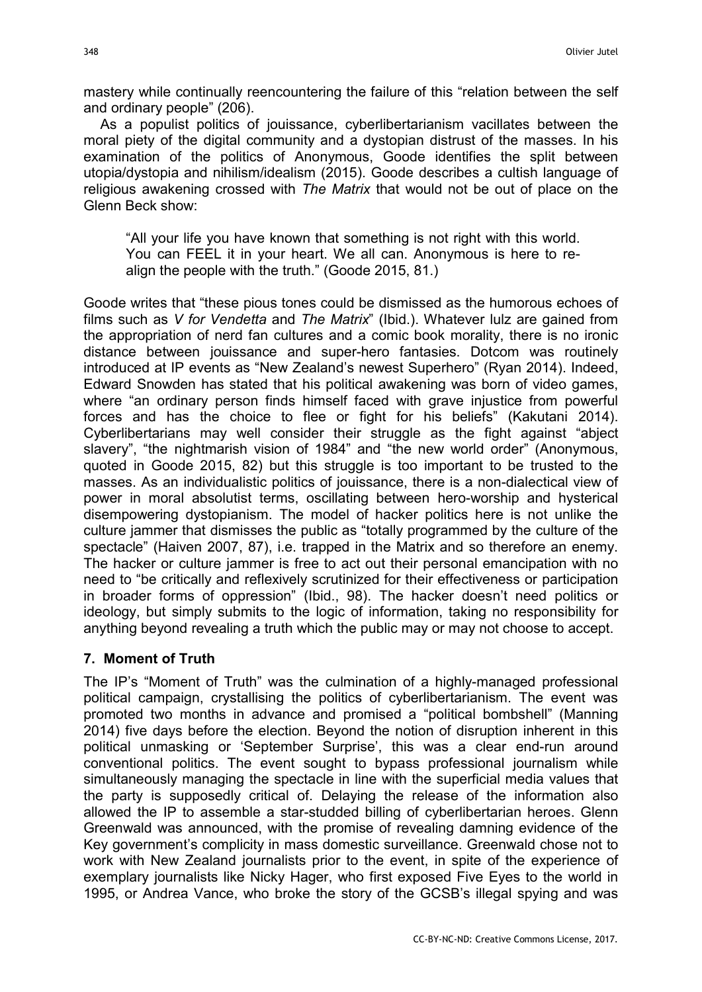mastery while continually reencountering the failure of this "relation between the self and ordinary people" (206).

As a populist politics of jouissance, cyberlibertarianism vacillates between the moral piety of the digital community and a dystopian distrust of the masses. In his examination of the politics of Anonymous, Goode identifies the split between utopia/dystopia and nihilism/idealism (2015). Goode describes a cultish language of religious awakening crossed with The Matrix that would not be out of place on the Glenn Beck show:

"All your life you have known that something is not right with this world. You can FEEL it in your heart. We all can. Anonymous is here to realign the people with the truth." (Goode 2015, 81.)

Goode writes that "these pious tones could be dismissed as the humorous echoes of films such as V for Vendetta and The Matrix" (Ibid.). Whatever lulz are gained from the appropriation of nerd fan cultures and a comic book morality, there is no ironic distance between jouissance and super-hero fantasies. Dotcom was routinely introduced at IP events as "New Zealand's newest Superhero" (Ryan 2014). Indeed, Edward Snowden has stated that his political awakening was born of video games, where "an ordinary person finds himself faced with grave injustice from powerful forces and has the choice to flee or fight for his beliefs" (Kakutani 2014). Cyberlibertarians may well consider their struggle as the fight against "abject slavery", "the nightmarish vision of 1984" and "the new world order" (Anonymous, quoted in Goode 2015, 82) but this struggle is too important to be trusted to the masses. As an individualistic politics of jouissance, there is a non-dialectical view of power in moral absolutist terms, oscillating between hero-worship and hysterical disempowering dystopianism. The model of hacker politics here is not unlike the culture jammer that dismisses the public as "totally programmed by the culture of the spectacle" (Haiven 2007, 87), i.e. trapped in the Matrix and so therefore an enemy. The hacker or culture jammer is free to act out their personal emancipation with no need to "be critically and reflexively scrutinized for their effectiveness or participation in broader forms of oppression" (Ibid., 98). The hacker doesn't need politics or ideology, but simply submits to the logic of information, taking no responsibility for anything beyond revealing a truth which the public may or may not choose to accept.

# 7. Moment of Truth

The IP's "Moment of Truth" was the culmination of a highly-managed professional political campaign, crystallising the politics of cyberlibertarianism. The event was promoted two months in advance and promised a "political bombshell" (Manning 2014) five days before the election. Beyond the notion of disruption inherent in this political unmasking or 'September Surprise', this was a clear end-run around conventional politics. The event sought to bypass professional journalism while simultaneously managing the spectacle in line with the superficial media values that the party is supposedly critical of. Delaying the release of the information also allowed the IP to assemble a star-studded billing of cyberlibertarian heroes. Glenn Greenwald was announced, with the promise of revealing damning evidence of the Key government's complicity in mass domestic surveillance. Greenwald chose not to work with New Zealand journalists prior to the event, in spite of the experience of exemplary journalists like Nicky Hager, who first exposed Five Eyes to the world in 1995, or Andrea Vance, who broke the story of the GCSB's illegal spying and was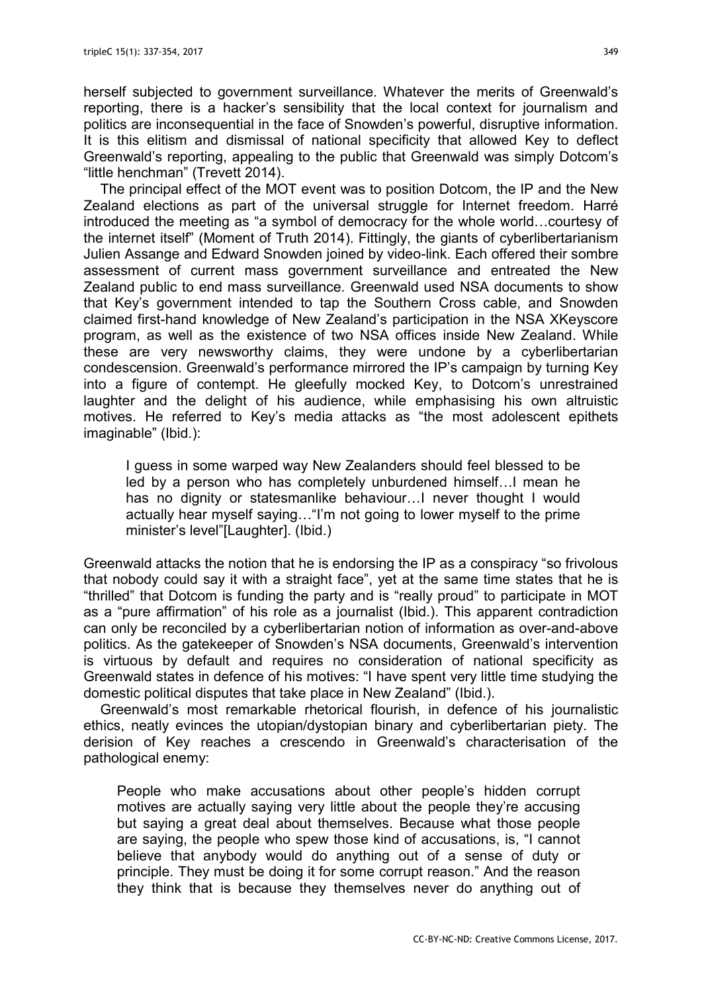herself subjected to government surveillance. Whatever the merits of Greenwald's reporting, there is a hacker's sensibility that the local context for journalism and politics are inconsequential in the face of Snowden's powerful, disruptive information. It is this elitism and dismissal of national specificity that allowed Key to deflect Greenwald's reporting, appealing to the public that Greenwald was simply Dotcom's "little henchman" (Trevett 2014).

The principal effect of the MOT event was to position Dotcom, the IP and the New Zealand elections as part of the universal struggle for Internet freedom. Harré introduced the meeting as "a symbol of democracy for the whole world…courtesy of the internet itself" (Moment of Truth 2014). Fittingly, the giants of cyberlibertarianism Julien Assange and Edward Snowden joined by video-link. Each offered their sombre assessment of current mass government surveillance and entreated the New Zealand public to end mass surveillance. Greenwald used NSA documents to show that Key's government intended to tap the Southern Cross cable, and Snowden claimed first-hand knowledge of New Zealand's participation in the NSA XKeyscore program, as well as the existence of two NSA offices inside New Zealand. While these are very newsworthy claims, they were undone by a cyberlibertarian condescension. Greenwald's performance mirrored the IP's campaign by turning Key into a figure of contempt. He gleefully mocked Key, to Dotcom's unrestrained laughter and the delight of his audience, while emphasising his own altruistic motives. He referred to Key's media attacks as "the most adolescent epithets imaginable" (Ibid.):

I guess in some warped way New Zealanders should feel blessed to be led by a person who has completely unburdened himself…I mean he has no dignity or statesmanlike behaviour…I never thought I would actually hear myself saying…"I'm not going to lower myself to the prime minister's level"[Laughter]. (Ibid.)

Greenwald attacks the notion that he is endorsing the IP as a conspiracy "so frivolous that nobody could say it with a straight face", yet at the same time states that he is "thrilled" that Dotcom is funding the party and is "really proud" to participate in MOT as a "pure affirmation" of his role as a journalist (Ibid.). This apparent contradiction can only be reconciled by a cyberlibertarian notion of information as over-and-above politics. As the gatekeeper of Snowden's NSA documents, Greenwald's intervention is virtuous by default and requires no consideration of national specificity as Greenwald states in defence of his motives: "I have spent very little time studying the domestic political disputes that take place in New Zealand" (Ibid.).

Greenwald's most remarkable rhetorical flourish, in defence of his journalistic ethics, neatly evinces the utopian/dystopian binary and cyberlibertarian piety. The derision of Key reaches a crescendo in Greenwald's characterisation of the pathological enemy:

People who make accusations about other people's hidden corrupt motives are actually saying very little about the people they're accusing but saying a great deal about themselves. Because what those people are saying, the people who spew those kind of accusations, is, "I cannot believe that anybody would do anything out of a sense of duty or principle. They must be doing it for some corrupt reason." And the reason they think that is because they themselves never do anything out of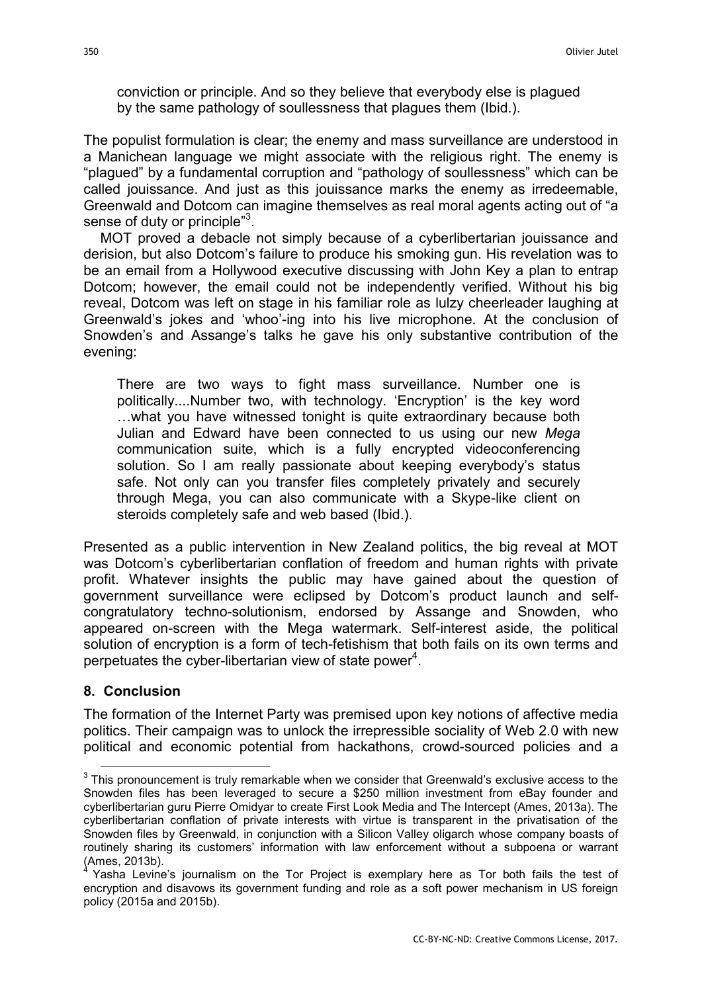conviction or principle. And so they believe that everybody else is plagued by the same pathology of soullessness that plagues them (Ibid.).

The populist formulation is clear; the enemy and mass surveillance are understood in a Manichean language we might associate with the religious right. The enemy is "plagued" by a fundamental corruption and "pathology of soullessness" which can be called jouissance. And just as this jouissance marks the enemy as irredeemable, Greenwald and Dotcom can imagine themselves as real moral agents acting out of "a sense of duty or principle"<sup>3</sup>.

MOT proved a debacle not simply because of a cyberlibertarian jouissance and derision, but also Dotcom's failure to produce his smoking gun. His revelation was to be an email from a Hollywood executive discussing with John Key a plan to entrap Dotcom; however, the email could not be independently verified. Without his big reveal, Dotcom was left on stage in his familiar role as lulzy cheerleader laughing at Greenwald's jokes and 'whoo'-ing into his live microphone. At the conclusion of Snowden's and Assange's talks he gave his only substantive contribution of the evening:

There are two ways to fight mass surveillance. Number one is politically....Number two, with technology. 'Encryption' is the key word …what you have witnessed tonight is quite extraordinary because both Julian and Edward have been connected to us using our new Mega communication suite, which is a fully encrypted videoconferencing solution. So I am really passionate about keeping everybody's status safe. Not only can you transfer files completely privately and securely through Mega, you can also communicate with a Skype-like client on steroids completely safe and web based (Ibid.).

Presented as a public intervention in New Zealand politics, the big reveal at MOT was Dotcom's cyberlibertarian conflation of freedom and human rights with private profit. Whatever insights the public may have gained about the question of government surveillance were eclipsed by Dotcom's product launch and selfcongratulatory techno-solutionism, endorsed by Assange and Snowden, who appeared on-screen with the Mega watermark. Self-interest aside, the political solution of encryption is a form of tech-fetishism that both fails on its own terms and perpetuates the cyber-libertarian view of state power<sup>4</sup>.

### 8. Conclusion

 $\overline{a}$ 

The formation of the Internet Party was premised upon key notions of affective media politics. Their campaign was to unlock the irrepressible sociality of Web 2.0 with new political and economic potential from hackathons, crowd-sourced policies and a

 $^3$  This pronouncement is truly remarkable when we consider that Greenwald's exclusive access to the Snowden files has been leveraged to secure a \$250 million investment from eBay founder and cyberlibertarian guru Pierre Omidyar to create First Look Media and The Intercept (Ames, 2013a). The cyberlibertarian conflation of private interests with virtue is transparent in the privatisation of the Snowden files by Greenwald, in conjunction with a Silicon Valley oligarch whose company boasts of routinely sharing its customers' information with law enforcement without a subpoena or warrant (Ames, 2013b). 4

Yasha Levine's journalism on the Tor Project is exemplary here as Tor both fails the test of encryption and disavows its government funding and role as a soft power mechanism in US foreign policy (2015a and 2015b).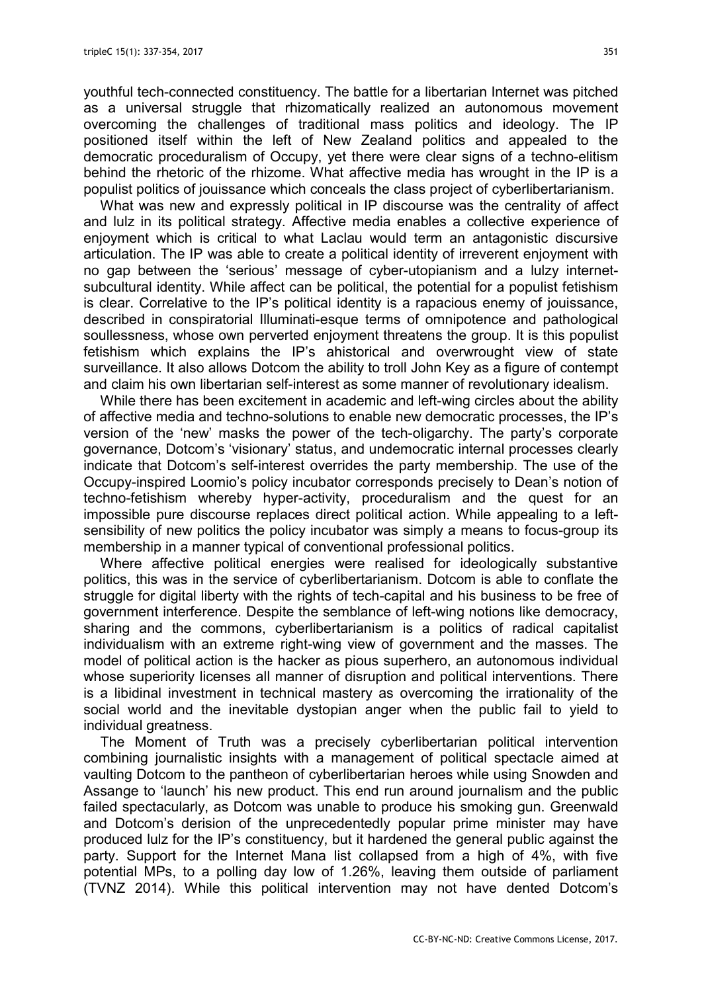youthful tech-connected constituency. The battle for a libertarian Internet was pitched as a universal struggle that rhizomatically realized an autonomous movement overcoming the challenges of traditional mass politics and ideology. The IP positioned itself within the left of New Zealand politics and appealed to the democratic proceduralism of Occupy, yet there were clear signs of a techno-elitism behind the rhetoric of the rhizome. What affective media has wrought in the IP is a populist politics of jouissance which conceals the class project of cyberlibertarianism.

What was new and expressly political in IP discourse was the centrality of affect and lulz in its political strategy. Affective media enables a collective experience of enjoyment which is critical to what Laclau would term an antagonistic discursive articulation. The IP was able to create a political identity of irreverent enjoyment with no gap between the 'serious' message of cyber-utopianism and a lulzy internetsubcultural identity. While affect can be political, the potential for a populist fetishism is clear. Correlative to the IP's political identity is a rapacious enemy of jouissance, described in conspiratorial Illuminati-esque terms of omnipotence and pathological soullessness, whose own perverted enjoyment threatens the group. It is this populist fetishism which explains the IP's ahistorical and overwrought view of state surveillance. It also allows Dotcom the ability to troll John Key as a figure of contempt and claim his own libertarian self-interest as some manner of revolutionary idealism.

While there has been excitement in academic and left-wing circles about the ability of affective media and techno-solutions to enable new democratic processes, the IP's version of the 'new' masks the power of the tech-oligarchy. The party's corporate governance, Dotcom's 'visionary' status, and undemocratic internal processes clearly indicate that Dotcom's self-interest overrides the party membership. The use of the Occupy-inspired Loomio's policy incubator corresponds precisely to Dean's notion of techno-fetishism whereby hyper-activity, proceduralism and the quest for an impossible pure discourse replaces direct political action. While appealing to a leftsensibility of new politics the policy incubator was simply a means to focus-group its membership in a manner typical of conventional professional politics.

Where affective political energies were realised for ideologically substantive politics, this was in the service of cyberlibertarianism. Dotcom is able to conflate the struggle for digital liberty with the rights of tech-capital and his business to be free of government interference. Despite the semblance of left-wing notions like democracy, sharing and the commons, cyberlibertarianism is a politics of radical capitalist individualism with an extreme right-wing view of government and the masses. The model of political action is the hacker as pious superhero, an autonomous individual whose superiority licenses all manner of disruption and political interventions. There is a libidinal investment in technical mastery as overcoming the irrationality of the social world and the inevitable dystopian anger when the public fail to yield to individual greatness.

The Moment of Truth was a precisely cyberlibertarian political intervention combining journalistic insights with a management of political spectacle aimed at vaulting Dotcom to the pantheon of cyberlibertarian heroes while using Snowden and Assange to 'launch' his new product. This end run around journalism and the public failed spectacularly, as Dotcom was unable to produce his smoking gun. Greenwald and Dotcom's derision of the unprecedentedly popular prime minister may have produced lulz for the IP's constituency, but it hardened the general public against the party. Support for the Internet Mana list collapsed from a high of 4%, with five potential MPs, to a polling day low of 1.26%, leaving them outside of parliament (TVNZ 2014). While this political intervention may not have dented Dotcom's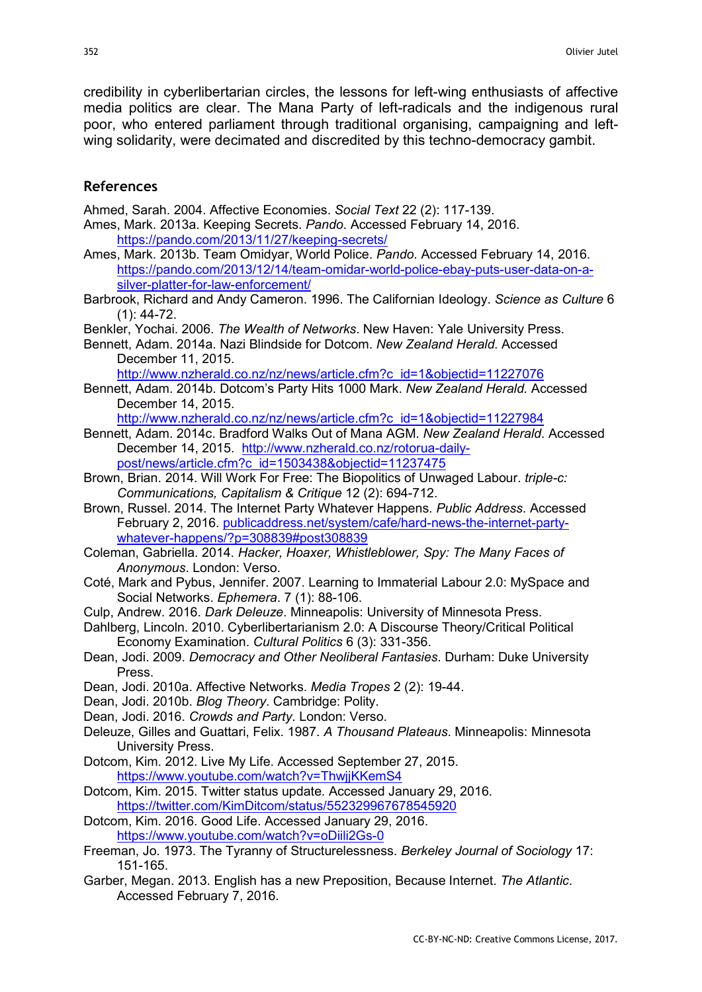credibility in cyberlibertarian circles, the lessons for left-wing enthusiasts of affective media politics are clear. The Mana Party of left-radicals and the indigenous rural poor, who entered parliament through traditional organising, campaigning and leftwing solidarity, were decimated and discredited by this techno-democracy gambit.

### References

Ahmed, Sarah. 2004. Affective Economies. Social Text 22 (2): 117-139.

- Ames, Mark. 2013a. Keeping Secrets. Pando. Accessed February 14, 2016. https://pando.com/2013/11/27/keeping-secrets/
- Ames, Mark. 2013b. Team Omidyar, World Police. Pando. Accessed February 14, 2016. https://pando.com/2013/12/14/team-omidar-world-police-ebay-puts-user-data-on-asilver-platter-for-law-enforcement/
- Barbrook, Richard and Andy Cameron. 1996. The Californian Ideology. Science as Culture 6 (1): 44-72.
- Benkler, Yochai. 2006. The Wealth of Networks. New Haven: Yale University Press.
- Bennett, Adam. 2014a. Nazi Blindside for Dotcom. New Zealand Herald. Accessed December 11, 2015.
	- http://www.nzherald.co.nz/nz/news/article.cfm?c\_id=1&objectid=11227076
- Bennett, Adam. 2014b. Dotcom's Party Hits 1000 Mark. New Zealand Herald. Accessed December 14, 2015.

http://www.nzherald.co.nz/nz/news/article.cfm?c\_id=1&objectid=11227984

- Bennett, Adam. 2014c. Bradford Walks Out of Mana AGM. New Zealand Herald. Accessed December 14, 2015. http://www.nzherald.co.nz/rotorua-dailypost/news/article.cfm?c\_id=1503438&objectid=11237475
- Brown, Brian. 2014. Will Work For Free: The Biopolitics of Unwaged Labour. triple-c: Communications, Capitalism & Critique 12 (2): 694-712.
- Brown, Russel. 2014. The Internet Party Whatever Happens. Public Address. Accessed February 2, 2016. publicaddress.net/system/cafe/hard-news-the-internet-partywhatever-happens/?p=308839#post308839
- Coleman, Gabriella. 2014. Hacker, Hoaxer, Whistleblower, Spy: The Many Faces of Anonymous. London: Verso.
- Coté, Mark and Pybus, Jennifer. 2007. Learning to Immaterial Labour 2.0: MySpace and Social Networks. Ephemera. 7 (1): 88-106.
- Culp, Andrew. 2016. Dark Deleuze. Minneapolis: University of Minnesota Press.
- Dahlberg, Lincoln. 2010. Cyberlibertarianism 2.0: A Discourse Theory/Critical Political Economy Examination. Cultural Politics 6 (3): 331-356.
- Dean, Jodi. 2009. Democracy and Other Neoliberal Fantasies. Durham: Duke University Press.
- Dean, Jodi. 2010a. Affective Networks. Media Tropes 2 (2): 19-44.
- Dean, Jodi. 2010b. Blog Theory. Cambridge: Polity.
- Dean, Jodi. 2016. Crowds and Party. London: Verso.
- Deleuze, Gilles and Guattari, Felix. 1987. A Thousand Plateaus. Minneapolis: Minnesota University Press.
- Dotcom, Kim. 2012. Live My Life. Accessed September 27, 2015. https://www.youtube.com/watch?v=ThwjjKKemS4
- Dotcom, Kim. 2015. Twitter status update. Accessed January 29, 2016. https://twitter.com/KimDitcom/status/552329967678545920
- Dotcom, Kim. 2016. Good Life. Accessed January 29, 2016. https://www.youtube.com/watch?v=oDiili2Gs-0
- Freeman, Jo. 1973. The Tyranny of Structurelessness. Berkeley Journal of Sociology 17: 151-165.
- Garber, Megan. 2013. English has a new Preposition, Because Internet. The Atlantic. Accessed February 7, 2016.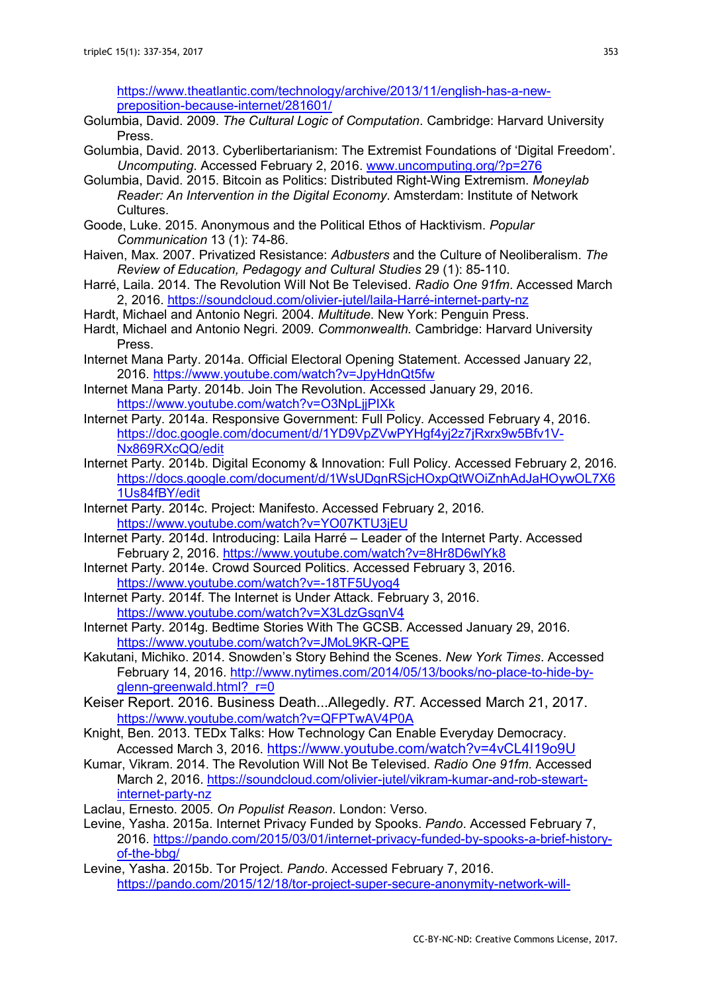https://www.theatlantic.com/technology/archive/2013/11/english-has-a-newpreposition-because-internet/281601/

- Golumbia, David. 2009. The Cultural Logic of Computation. Cambridge: Harvard University Press.
- Golumbia, David. 2013. Cyberlibertarianism: The Extremist Foundations of 'Digital Freedom'. Uncomputing. Accessed February 2, 2016. www.uncomputing.org/?p=276
- Golumbia, David. 2015. Bitcoin as Politics: Distributed Right-Wing Extremism. Moneylab Reader: An Intervention in the Digital Economy. Amsterdam: Institute of Network Cultures.
- Goode, Luke. 2015. Anonymous and the Political Ethos of Hacktivism. Popular Communication 13 (1): 74-86.
- Haiven, Max. 2007. Privatized Resistance: Adbusters and the Culture of Neoliberalism. The Review of Education, Pedagogy and Cultural Studies 29 (1): 85-110.
- Harré, Laila. 2014. The Revolution Will Not Be Televised. Radio One 91fm. Accessed March 2, 2016. https://soundcloud.com/olivier-jutel/laila-Harré-internet-party-nz
- Hardt, Michael and Antonio Negri. 2004. Multitude. New York: Penguin Press.
- Hardt, Michael and Antonio Negri. 2009. Commonwealth. Cambridge: Harvard University Press.
- Internet Mana Party. 2014a. Official Electoral Opening Statement. Accessed January 22, 2016. https://www.youtube.com/watch?v=JpyHdnQt5fw
- Internet Mana Party. 2014b. Join The Revolution. Accessed January 29, 2016. https://www.youtube.com/watch?v=O3NpLjjPIXk
- Internet Party. 2014a. Responsive Government: Full Policy. Accessed February 4, 2016. https://doc.google.com/document/d/1YD9VpZVwPYHgf4yj2z7jRxrx9w5Bfv1V-Nx869RXcQQ/edit
- Internet Party. 2014b. Digital Economy & Innovation: Full Policy. Accessed February 2, 2016. https://docs.google.com/document/d/1WsUDgnRSjcHOxpQtWOiZnhAdJaHOywOL7X6 1Us84fBY/edit
- Internet Party. 2014c. Project: Manifesto. Accessed February 2, 2016. https://www.youtube.com/watch?v=YO07KTU3jEU
- Internet Party. 2014d. Introducing: Laila Harré Leader of the Internet Party. Accessed February 2, 2016. https://www.youtube.com/watch?v=8Hr8D6wlYk8
- Internet Party. 2014e. Crowd Sourced Politics. Accessed February 3, 2016. https://www.youtube.com/watch?v=-18TF5Uyog4
- Internet Party. 2014f. The Internet is Under Attack. February 3, 2016. https://www.youtube.com/watch?v=X3LdzGsqnV4
- Internet Party. 2014g. Bedtime Stories With The GCSB. Accessed January 29, 2016. https://www.youtube.com/watch?v=JMoL9KR-QPE
- Kakutani, Michiko. 2014. Snowden's Story Behind the Scenes. New York Times. Accessed February 14, 2016. http://www.nytimes.com/2014/05/13/books/no-place-to-hide-byglenn-greenwald.html? r=0
- Keiser Report. 2016. Business Death...Allegedly. RT. Accessed March 21, 2017. https://www.youtube.com/watch?v=QFPTwAV4P0A
- Knight, Ben. 2013. TEDx Talks: How Technology Can Enable Everyday Democracy. Accessed March 3, 2016. https://www.youtube.com/watch?v=4vCL4I19o9U
- Kumar, Vikram. 2014. The Revolution Will Not Be Televised. Radio One 91fm. Accessed March 2, 2016. https://soundcloud.com/olivier-jutel/vikram-kumar-and-rob-stewartinternet-party-nz
- Laclau, Ernesto. 2005. On Populist Reason. London: Verso.
- Levine, Yasha. 2015a. Internet Privacy Funded by Spooks. Pando. Accessed February 7, 2016. https://pando.com/2015/03/01/internet-privacy-funded-by-spooks-a-brief-historyof-the-bbg/
- Levine, Yasha. 2015b. Tor Project. Pando. Accessed February 7, 2016. https://pando.com/2015/12/18/tor-project-super-secure-anonymity-network-will-